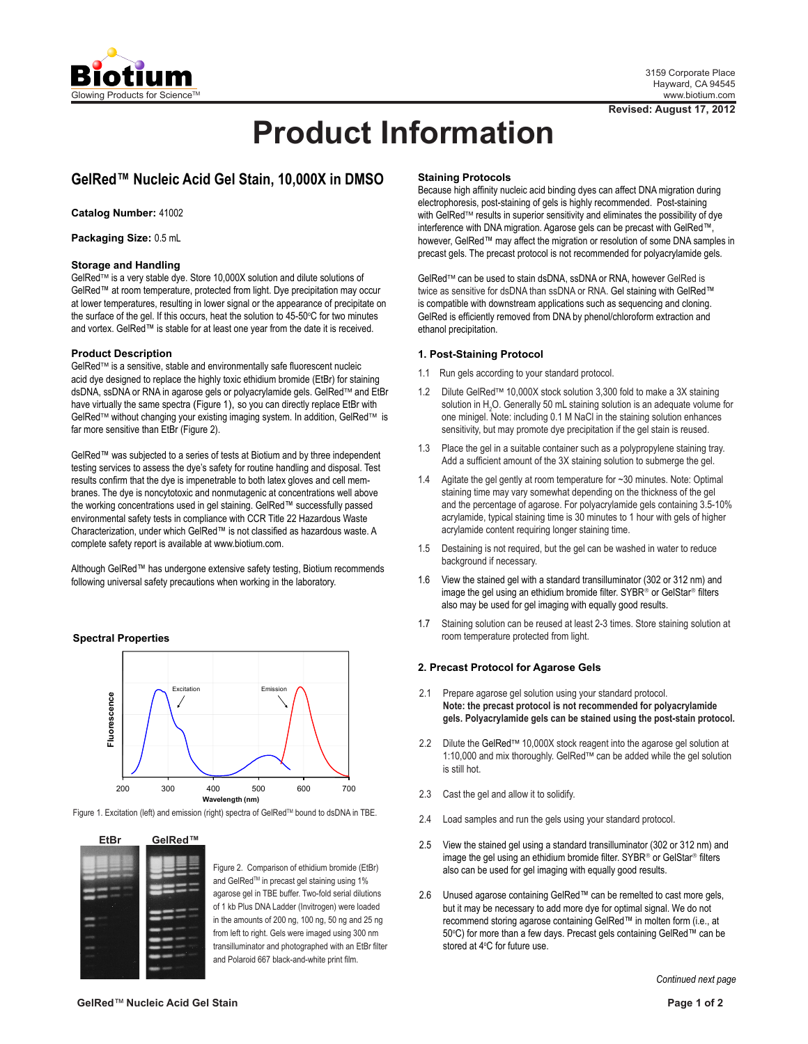

# **Product Information**

## **GelRed™ Nucleic Acid Gel Stain, 10,000X in DMSO**

**Catalog Number:** 41002

**Packaging Size:** 0.5 mL

#### **Storage and Handling**

GelRed<sup>™</sup> is a very stable dye. Store 10,000X solution and dilute solutions of GelRed™ at room temperature, protected from light. Dye precipitation may occur at lower temperatures, resulting in lower signal or the appearance of precipitate on the surface of the gel. If this occurs, heat the solution to 45-50°C for two minutes and vortex. GelRed™ is stable for at least one year from the date it is received.

#### **Product Description**

GelRed<sup>™</sup> is a sensitive, stable and environmentally safe fluorescent nucleic acid dye designed to replace the highly toxic ethidium bromide (EtBr) for staining dsDNA, ssDNA or RNA in agarose gels or polyacrylamide gels. GelRed™ and EtBr have virtually the same spectra (Figure 1), so you can directly replace EtBr with GelRed<sup>™</sup> without changing your existing imaging system. In addition, GelRed<sup>™</sup> is far more sensitive than EtBr (Figure 2).

GelRed™ was subjected to a series of tests at Biotium and by three independent testing services to assess the dye's safety for routine handling and disposal. Test results confirm that the dye is impenetrable to both latex gloves and cell membranes. The dye is noncytotoxic and nonmutagenic at concentrations well above the working concentrations used in gel staining. GelRed™ successfully passed environmental safety tests in compliance with CCR Title 22 Hazardous Waste Characterization, under which GelRed™ is not classified as hazardous waste. A complete safety report is available at www.biotium.com.

Although GelRed™ has undergone extensive safety testing, Biotium recommends following universal safety precautions when working in the laboratory.

#### **Spectral Properties**



Figure 1. Excitation (left) and emission (right) spectra of GelRed™ bound to dsDNA in TBE.



Figure 2. Comparison of ethidium bromide (EtBr) and GelRed™ in precast gel staining using 1% agarose gel in TBE buffer. Two-fold serial dilutions of 1 kb Plus DNA Ladder (Invitrogen) were loaded in the amounts of 200 ng, 100 ng, 50 ng and 25 ng from left to right. Gels were imaged using 300 nm transilluminator and photographed with an EtBr filter and Polaroid 667 black-and-white print film.

#### **Staining Protocols**

Because high affinity nucleic acid binding dyes can affect DNA migration during electrophoresis, post-staining of gels is highly recommended. Post-staining with GelRed™ results in superior sensitivity and eliminates the possibility of dye interference with DNA migration. Agarose gels can be precast with GelRed™, however, GelRed™ may affect the migration or resolution of some DNA samples in precast gels. The precast protocol is not recommended for polyacrylamide gels.

GelRed<sup>™</sup> can be used to stain dsDNA, ssDNA or RNA, however GelRed is twice as sensitive for dsDNA than ssDNA or RNA. Gel staining with GelRed™ is compatible with downstream applications such as sequencing and cloning. GelRed is efficiently removed from DNA by phenol/chloroform extraction and ethanol precipitation.

#### **1. Post-Staining Protocol**

- 1.1 Run gels according to your standard protocol.
- 1.2 Dilute GelRed™ 10,000X stock solution 3,300 fold to make a 3X staining solution in  $H_2O$ . Generally 50 mL staining solution is an adequate volume for one minigel. Note: including 0.1 M NaCl in the staining solution enhances sensitivity, but may promote dye precipitation if the gel stain is reused.
- 1.3 Place the gel in a suitable container such as a polypropylene staining tray. Add a sufficient amount of the 3X staining solution to submerge the gel.
- 1.4 Agitate the gel gently at room temperature for ~30 minutes. Note: Optimal staining time may vary somewhat depending on the thickness of the gel and the percentage of agarose. For polyacrylamide gels containing 3.5-10% acrylamide, typical staining time is 30 minutes to 1 hour with gels of higher acrylamide content requiring longer staining time.
- 1.5 Destaining is not required, but the gel can be washed in water to reduce background if necessary.
- 1.6 View the stained gel with a standard transilluminator (302 or 312 nm) and image the gel using an ethidium bromide filter. SYBR® or GelStar® filters also may be used for gel imaging with equally good results.
- 1.7 Staining solution can be reused at least 2-3 times. Store staining solution at room temperature protected from light.

#### **2. Precast Protocol for Agarose Gels**

- 2.1 Prepare agarose gel solution using your standard protocol. **Note: the precast protocol is not recommended for polyacrylamide gels. Polyacrylamide gels can be stained using the post-stain protocol.**
- 2.2 Dilute the GelRed<sup>™</sup> 10,000X stock reagent into the agarose gel solution at 1:10,000 and mix thoroughly. GelRed<sup>™</sup> can be added while the gel solution is still hot.
- 2.3 Cast the gel and allow it to solidify.
- 2.4 Load samples and run the gels using your standard protocol.
- 2.5 View the stained gel using a standard transilluminator (302 or 312 nm) and image the gel using an ethidium bromide filter. SYBR<sup>®</sup> or GelStar<sup>®</sup> filters also can be used for gel imaging with equally good results.
- 2.6 Unused agarose containing GelRed™ can be remelted to cast more gels, but it may be necessary to add more dye for optimal signal. We do not recommend storing agarose containing GelRed™ in molten form (i.e., at 50°C) for more than a few days. Precast gels containing GelRed™ can be stored at 4°C for future use.